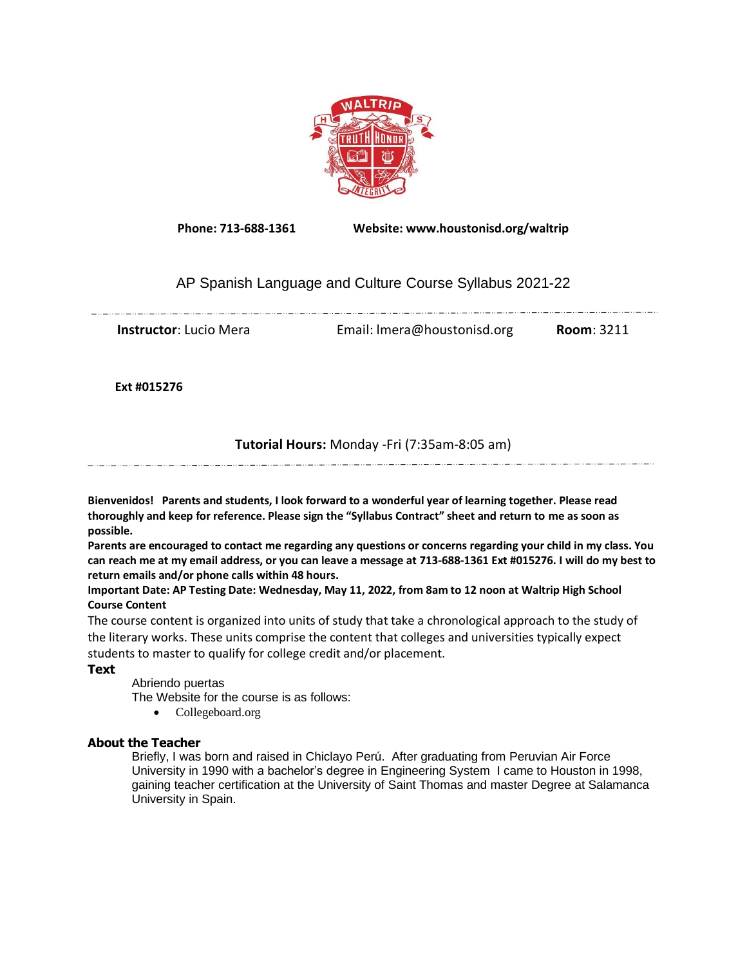

**Phone: 713-688-1361 Website: www.houstonisd.org/waltrip**

# AP Spanish Language and Culture Course Syllabus 2021-22

**Instructor**: Lucio Mera **Email:** Imera@houstonisd.org **Room**: 3211

 **Ext #015276**

# **Tutorial Hours:** Monday -Fri (7:35am-8:05 am)

**Bienvenidos! Parents and students, I look forward to a wonderful year of learning together. Please read thoroughly and keep for reference. Please sign the "Syllabus Contract" sheet and return to me as soon as possible.** 

**Parents are encouraged to contact me regarding any questions or concerns regarding your child in my class. You can reach me at my email address, or you can leave a message at 713-688-1361 Ext #015276. I will do my best to return emails and/or phone calls within 48 hours.**

**Important Date: AP Testing Date: Wednesday, May 11, 2022, from 8am to 12 noon at Waltrip High School Course Content**

The course content is organized into units of study that take a chronological approach to the study of the literary works. These units comprise the content that colleges and universities typically expect students to master to qualify for college credit and/or placement.

**Text**

Abriendo puertas

The Website for the course is as follows:

• Collegeboard.org

## **About the Teacher**

Briefly, I was born and raised in Chiclayo Perú. After graduating from Peruvian Air Force University in 1990 with a bachelor's degree in Engineering System I came to Houston in 1998, gaining teacher certification at the University of Saint Thomas and master Degree at Salamanca University in Spain.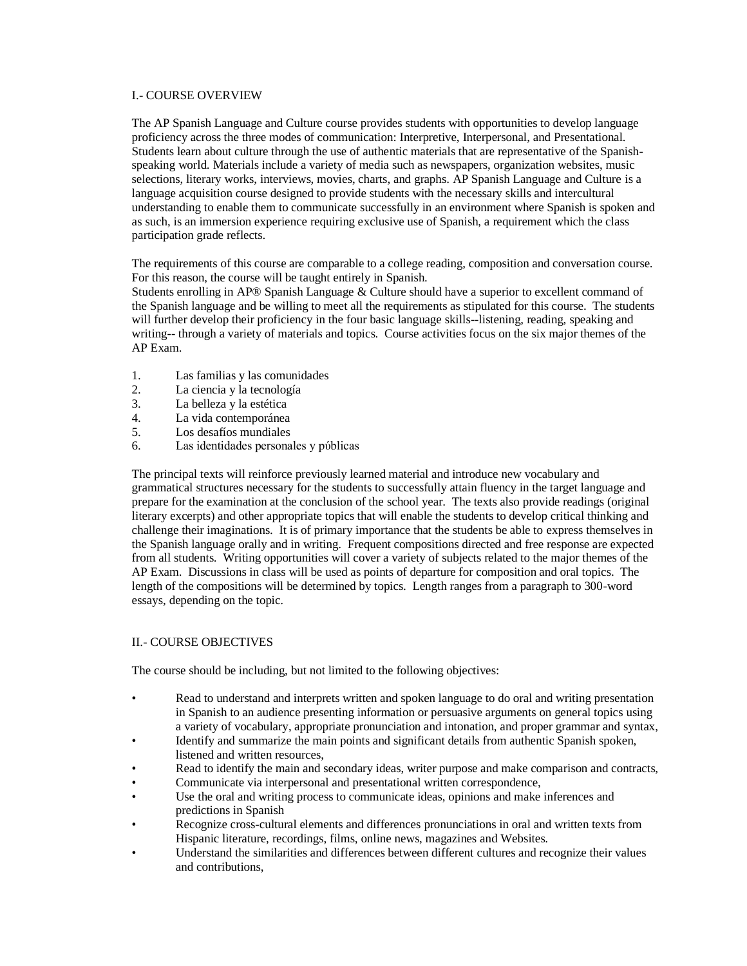## I.- COURSE OVERVIEW

The AP Spanish Language and Culture course provides students with opportunities to develop language proficiency across the three modes of communication: Interpretive, Interpersonal, and Presentational. Students learn about culture through the use of authentic materials that are representative of the Spanishspeaking world. Materials include a variety of media such as newspapers, organization websites, music selections, literary works, interviews, movies, charts, and graphs. AP Spanish Language and Culture is a language acquisition course designed to provide students with the necessary skills and intercultural understanding to enable them to communicate successfully in an environment where Spanish is spoken and as such, is an immersion experience requiring exclusive use of Spanish, a requirement which the class participation grade reflects.

The requirements of this course are comparable to a college reading, composition and conversation course. For this reason, the course will be taught entirely in Spanish.

Students enrolling in AP® Spanish Language & Culture should have a superior to excellent command of the Spanish language and be willing to meet all the requirements as stipulated for this course. The students will further develop their proficiency in the four basic language skills--listening, reading, speaking and writing-- through a variety of materials and topics. Course activities focus on the six major themes of the AP Exam.

- 1. Las familias y las comunidades
- 2. La ciencia y la tecnología
- 3. La belleza y la estética
- 4. La vida contemporánea
- 5. Los desafíos mundiales
- 6. Las identidades personales y pύblicas

The principal texts will reinforce previously learned material and introduce new vocabulary and grammatical structures necessary for the students to successfully attain fluency in the target language and prepare for the examination at the conclusion of the school year. The texts also provide readings (original literary excerpts) and other appropriate topics that will enable the students to develop critical thinking and challenge their imaginations. It is of primary importance that the students be able to express themselves in the Spanish language orally and in writing. Frequent compositions directed and free response are expected from all students. Writing opportunities will cover a variety of subjects related to the major themes of the AP Exam. Discussions in class will be used as points of departure for composition and oral topics. The length of the compositions will be determined by topics. Length ranges from a paragraph to 300-word essays, depending on the topic.

## II.- COURSE OBJECTIVES

The course should be including, but not limited to the following objectives:

- Read to understand and interprets written and spoken language to do oral and writing presentation in Spanish to an audience presenting information or persuasive arguments on general topics using a variety of vocabulary, appropriate pronunciation and intonation, and proper grammar and syntax,
- Identify and summarize the main points and significant details from authentic Spanish spoken, listened and written resources,
- Read to identify the main and secondary ideas, writer purpose and make comparison and contracts,
- Communicate via interpersonal and presentational written correspondence,
- Use the oral and writing process to communicate ideas, opinions and make inferences and predictions in Spanish
- Recognize cross-cultural elements and differences pronunciations in oral and written texts from Hispanic literature, recordings, films, online news, magazines and Websites.
- Understand the similarities and differences between different cultures and recognize their values and contributions,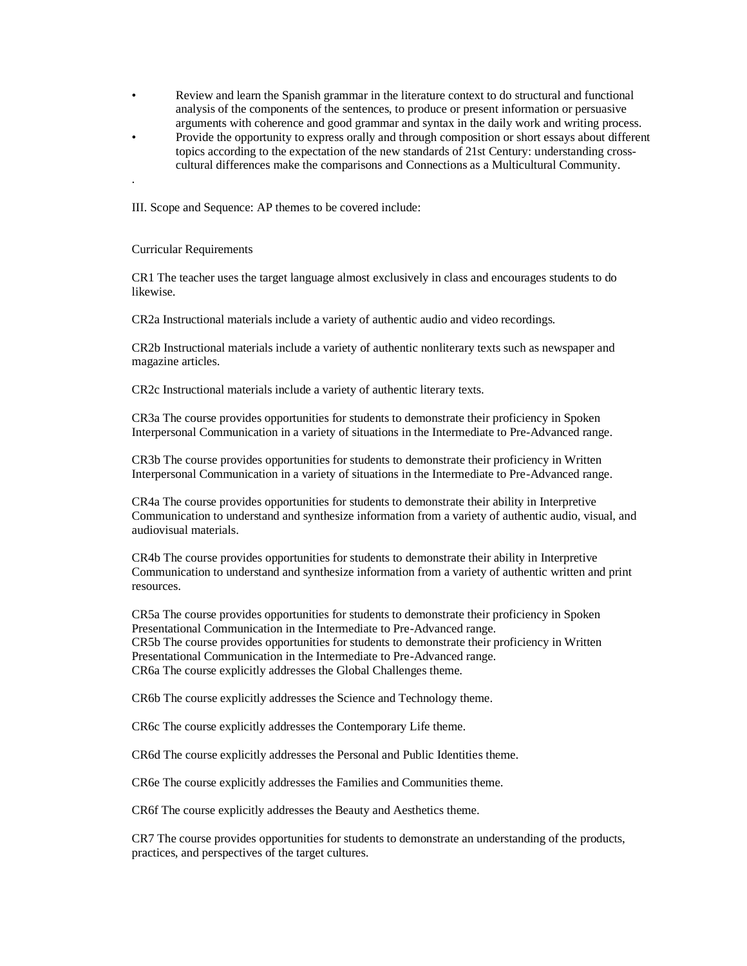- Review and learn the Spanish grammar in the literature context to do structural and functional analysis of the components of the sentences, to produce or present information or persuasive arguments with coherence and good grammar and syntax in the daily work and writing process.
- Provide the opportunity to express orally and through composition or short essays about different topics according to the expectation of the new standards of 21st Century: understanding crosscultural differences make the comparisons and Connections as a Multicultural Community.

III. Scope and Sequence: AP themes to be covered include:

Curricular Requirements

.

CR1 The teacher uses the target language almost exclusively in class and encourages students to do likewise.

CR2a Instructional materials include a variety of authentic audio and video recordings.

CR2b Instructional materials include a variety of authentic nonliterary texts such as newspaper and magazine articles.

CR2c Instructional materials include a variety of authentic literary texts.

CR3a The course provides opportunities for students to demonstrate their proficiency in Spoken Interpersonal Communication in a variety of situations in the Intermediate to Pre-Advanced range.

CR3b The course provides opportunities for students to demonstrate their proficiency in Written Interpersonal Communication in a variety of situations in the Intermediate to Pre-Advanced range.

CR4a The course provides opportunities for students to demonstrate their ability in Interpretive Communication to understand and synthesize information from a variety of authentic audio, visual, and audiovisual materials.

CR4b The course provides opportunities for students to demonstrate their ability in Interpretive Communication to understand and synthesize information from a variety of authentic written and print resources.

CR5a The course provides opportunities for students to demonstrate their proficiency in Spoken Presentational Communication in the Intermediate to Pre-Advanced range. CR5b The course provides opportunities for students to demonstrate their proficiency in Written Presentational Communication in the Intermediate to Pre-Advanced range. CR6a The course explicitly addresses the Global Challenges theme.

CR6b The course explicitly addresses the Science and Technology theme.

CR6c The course explicitly addresses the Contemporary Life theme.

CR6d The course explicitly addresses the Personal and Public Identities theme.

CR6e The course explicitly addresses the Families and Communities theme.

CR6f The course explicitly addresses the Beauty and Aesthetics theme.

CR7 The course provides opportunities for students to demonstrate an understanding of the products, practices, and perspectives of the target cultures.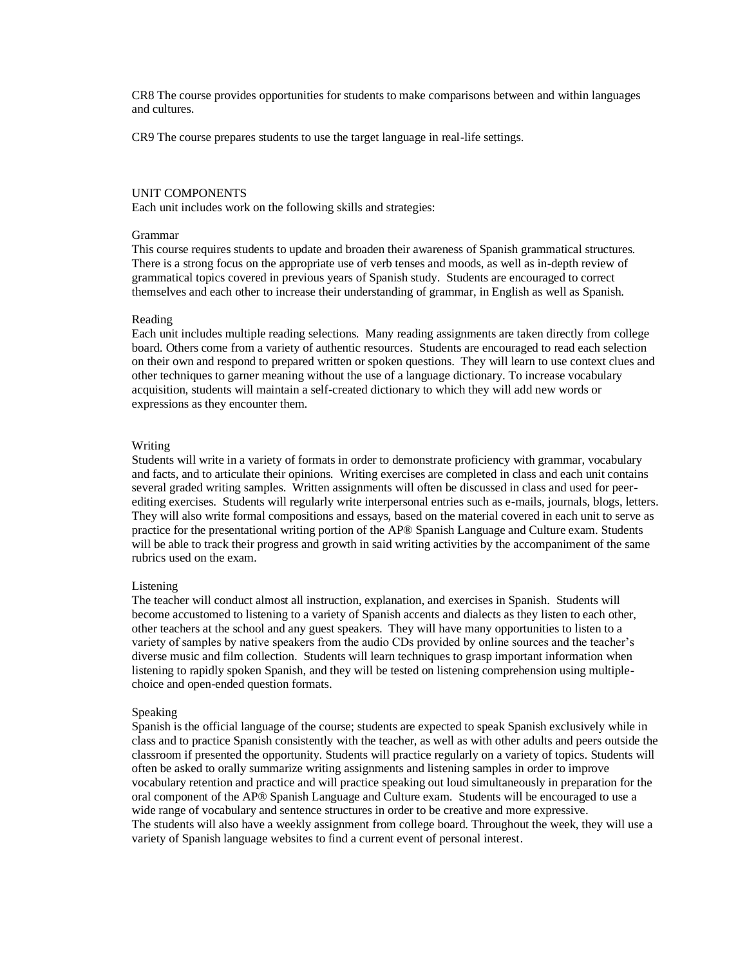CR8 The course provides opportunities for students to make comparisons between and within languages and cultures.

CR9 The course prepares students to use the target language in real-life settings.

#### UNIT COMPONENTS

Each unit includes work on the following skills and strategies:

#### Grammar

This course requires students to update and broaden their awareness of Spanish grammatical structures. There is a strong focus on the appropriate use of verb tenses and moods, as well as in-depth review of grammatical topics covered in previous years of Spanish study. Students are encouraged to correct themselves and each other to increase their understanding of grammar, in English as well as Spanish.

#### Reading

Each unit includes multiple reading selections. Many reading assignments are taken directly from college board. Others come from a variety of authentic resources. Students are encouraged to read each selection on their own and respond to prepared written or spoken questions. They will learn to use context clues and other techniques to garner meaning without the use of a language dictionary. To increase vocabulary acquisition, students will maintain a self-created dictionary to which they will add new words or expressions as they encounter them.

#### Writing

Students will write in a variety of formats in order to demonstrate proficiency with grammar, vocabulary and facts, and to articulate their opinions. Writing exercises are completed in class and each unit contains several graded writing samples. Written assignments will often be discussed in class and used for peerediting exercises. Students will regularly write interpersonal entries such as e-mails, journals, blogs, letters. They will also write formal compositions and essays, based on the material covered in each unit to serve as practice for the presentational writing portion of the AP® Spanish Language and Culture exam. Students will be able to track their progress and growth in said writing activities by the accompaniment of the same rubrics used on the exam.

#### Listening

The teacher will conduct almost all instruction, explanation, and exercises in Spanish. Students will become accustomed to listening to a variety of Spanish accents and dialects as they listen to each other, other teachers at the school and any guest speakers. They will have many opportunities to listen to a variety of samples by native speakers from the audio CDs provided by online sources and the teacher's diverse music and film collection. Students will learn techniques to grasp important information when listening to rapidly spoken Spanish, and they will be tested on listening comprehension using multiplechoice and open-ended question formats.

#### Speaking

Spanish is the official language of the course; students are expected to speak Spanish exclusively while in class and to practice Spanish consistently with the teacher, as well as with other adults and peers outside the classroom if presented the opportunity. Students will practice regularly on a variety of topics. Students will often be asked to orally summarize writing assignments and listening samples in order to improve vocabulary retention and practice and will practice speaking out loud simultaneously in preparation for the oral component of the AP® Spanish Language and Culture exam. Students will be encouraged to use a wide range of vocabulary and sentence structures in order to be creative and more expressive. The students will also have a weekly assignment from college board. Throughout the week, they will use a variety of Spanish language websites to find a current event of personal interest.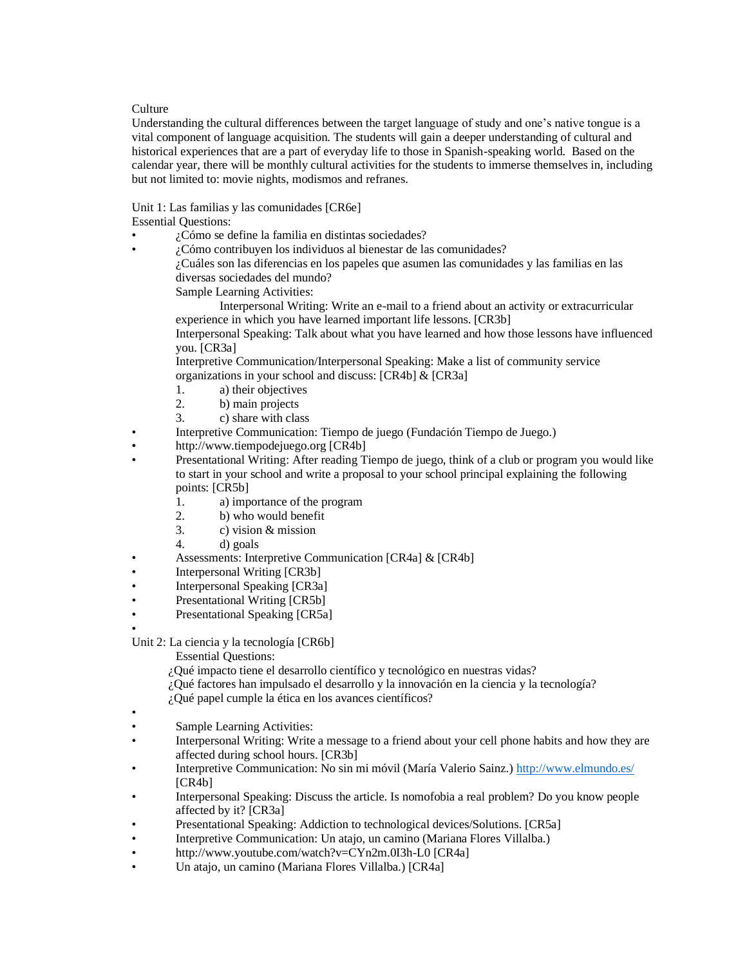## **Culture**

Understanding the cultural differences between the target language of study and one's native tongue is a vital component of language acquisition. The students will gain a deeper understanding of cultural and historical experiences that are a part of everyday life to those in Spanish-speaking world. Based on the calendar year, there will be monthly cultural activities for the students to immerse themselves in, including but not limited to: movie nights, modismos and refranes.

Unit 1: Las familias y las comunidades [CR6e]

Essential Questions:

- ¿Cómo se define la familia en distintas sociedades?
	- ¿Cómo contribuyen los individuos al bienestar de las comunidades?

¿Cuáles son las diferencias en los papeles que asumen las comunidades y las familias en las diversas sociedades del mundo?

Sample Learning Activities:

Interpersonal Writing: Write an e-mail to a friend about an activity or extracurricular experience in which you have learned important life lessons. [CR3b]

Interpersonal Speaking: Talk about what you have learned and how those lessons have influenced you. [CR3a]

Interpretive Communication/Interpersonal Speaking: Make a list of community service organizations in your school and discuss: [CR4b] & [CR3a]

- 1. a) their objectives
- 2. b) main projects
- 3. c) share with class
- Interpretive Communication: Tiempo de juego (Fundación Tiempo de Juego.)
- http://www.tiempodejuego.org [CR4b]
- Presentational Writing: After reading Tiempo de juego, think of a club or program you would like to start in your school and write a proposal to your school principal explaining the following points: [CR5b]
	- 1. a) importance of the program
	- 2. b) who would benefit
	- 3. c) vision & mission
	- 4. d) goals
- Assessments: Interpretive Communication [CR4a] & [CR4b]
- Interpersonal Writing [CR3b]
- Interpersonal Speaking [CR3a]
- Presentational Writing [CR5b]
- Presentational Speaking [CR5a]
- •

Unit 2: La ciencia y la tecnología [CR6b]

Essential Questions:

¿Qué impacto tiene el desarrollo científico y tecnológico en nuestras vidas?

¿Qué factores han impulsado el desarrollo y la innovación en la ciencia y la tecnología?

- ¿Qué papel cumple la ética en los avances científicos?
- •
- Sample Learning Activities:
- Interpersonal Writing: Write a message to a friend about your cell phone habits and how they are affected during school hours. [CR3b]
- Interpretive Communication: No sin mi móvil (María Valerio Sainz.)<http://www.elmundo.es/> [CR4b]
- Interpersonal Speaking: Discuss the article. Is nomofobia a real problem? Do you know people affected by it? [CR3a]
- Presentational Speaking: Addiction to technological devices/Solutions. [CR5a]
- Interpretive Communication: Un atajo, un camino (Mariana Flores Villalba.)
- http://www.youtube.com/watch?v=CYn2m.0I3h-L0 [CR4a]
- Un atajo, un camino (Mariana Flores Villalba.) [CR4a]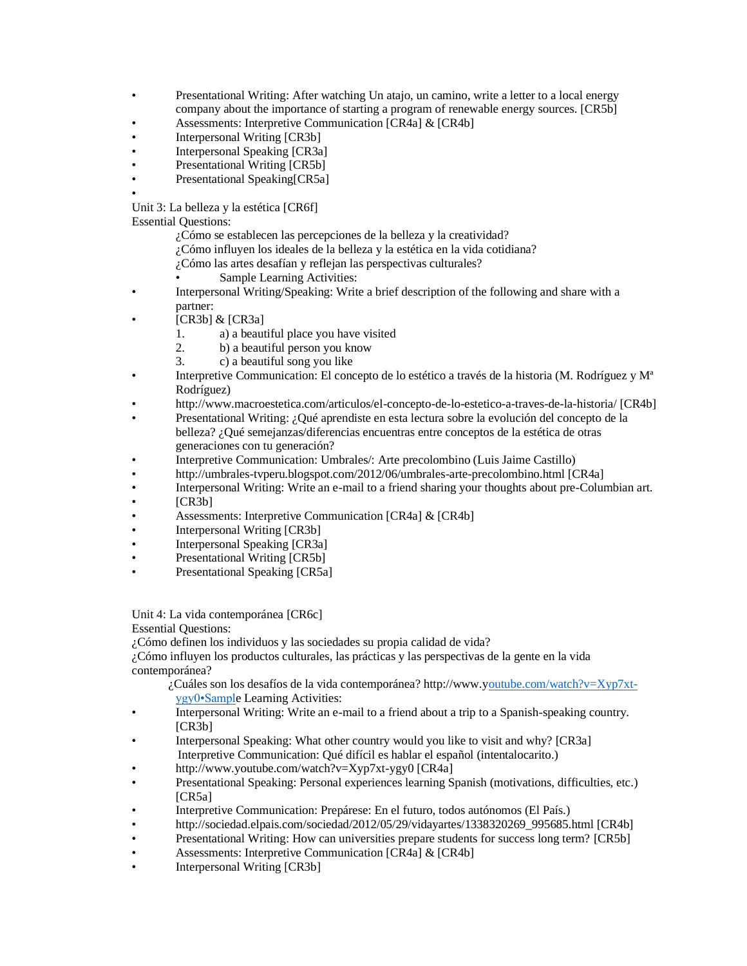- Presentational Writing: After watching Un atajo, un camino, write a letter to a local energy company about the importance of starting a program of renewable energy sources. [CR5b]
- Assessments: Interpretive Communication [CR4a] & [CR4b]
- Interpersonal Writing [CR3b]
- Interpersonal Speaking [CR3a]
- Presentational Writing [CR5b]
- Presentational Speaking[CR5a]
- •

Unit 3: La belleza y la estética [CR6f]

Essential Questions:

¿Cómo se establecen las percepciones de la belleza y la creatividad?

¿Cómo influyen los ideales de la belleza y la estética en la vida cotidiana?

- ¿Cómo las artes desafían y reflejan las perspectivas culturales?
- Sample Learning Activities:
- Interpersonal Writing/Speaking: Write a brief description of the following and share with a partner:
- $[CR3b] & [CR3a]$ 
	- 1. a) a beautiful place you have visited
	- 2. b) a beautiful person you know
	- 3. c) a beautiful song you like
- Interpretive Communication: El concepto de lo estético a través de la historia (M. Rodríguez y Mª Rodríguez)
- http://www.macroestetica.com/articulos/el-concepto-de-lo-estetico-a-traves-de-la-historia/ [CR4b]
- Presentational Writing: ¿Qué aprendiste en esta lectura sobre la evolución del concepto de la belleza? ¿Qué semejanzas/diferencias encuentras entre conceptos de la estética de otras generaciones con tu generación?
- Interpretive Communication: Umbrales/: Arte precolombino (Luis Jaime Castillo)
- http://umbrales-tvperu.blogspot.com/2012/06/umbrales-arte-precolombino.html [CR4a]
- Interpersonal Writing: Write an e-mail to a friend sharing your thoughts about pre-Columbian art.
- $[CR3b]$
- Assessments: Interpretive Communication [CR4a] & [CR4b]
- Interpersonal Writing [CR3b]
- Interpersonal Speaking [CR3a]
- Presentational Writing [CR5b]
- Presentational Speaking [CR5a]

Unit 4: La vida contemporánea [CR6c]

Essential Questions:

¿Cómo definen los individuos y las sociedades su propia calidad de vida?

¿Cómo influyen los productos culturales, las prácticas y las perspectivas de la gente en la vida contemporánea?

¿Cuáles son los desafíos de la vida contemporánea? http://www.[youtube.com/watch?v=Xyp7xt](outube.com/watch?v=Xyp7xt-ygy0•Sampl)[ygy0•Sample](outube.com/watch?v=Xyp7xt-ygy0•Sampl) Learning Activities:

- Interpersonal Writing: Write an e-mail to a friend about a trip to a Spanish-speaking country.  $[CR3b]$
- Interpersonal Speaking: What other country would you like to visit and why? [CR3a] Interpretive Communication: Qué difícil es hablar el español (intentalocarito.)
- http://www.youtube.com/watch?v=Xyp7xt-ygy0 [CR4a]
- Presentational Speaking: Personal experiences learning Spanish (motivations, difficulties, etc.) [CR5a]
- Interpretive Communication: Prepárese: En el futuro, todos autónomos (El País.)
- http://sociedad.elpais.com/sociedad/2012/05/29/vidayartes/1338320269\_995685.html [CR4b]
- Presentational Writing: How can universities prepare students for success long term? [CR5b]
- Assessments: Interpretive Communication [CR4a] & [CR4b]
- Interpersonal Writing [CR3b]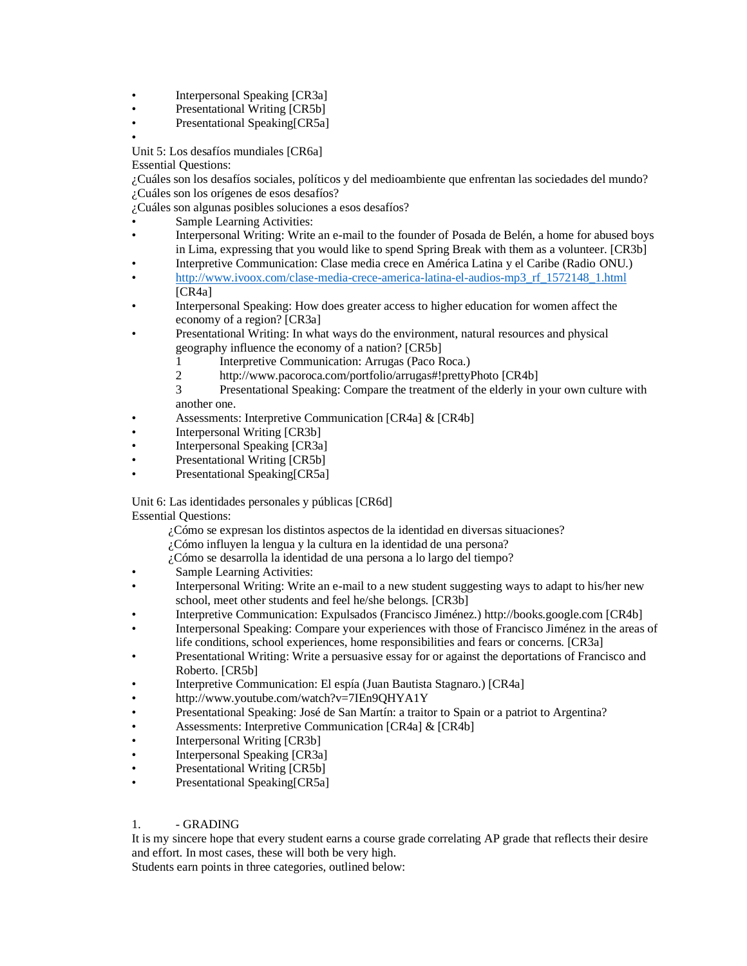- Interpersonal Speaking [CR3a]
- Presentational Writing [CR5b]
- Presentational Speaking[CR5a]
- •

Unit 5: Los desafíos mundiales [CR6a]

Essential Questions:

¿Cuáles son los desafíos sociales, políticos y del medioambiente que enfrentan las sociedades del mundo? ¿Cuáles son los orígenes de esos desafíos?

¿Cuáles son algunas posibles soluciones a esos desafíos?

- Sample Learning Activities:
- Interpersonal Writing: Write an e-mail to the founder of Posada de Belén, a home for abused boys in Lima, expressing that you would like to spend Spring Break with them as a volunteer. [CR3b]
- Interpretive Communication: Clase media crece en América Latina y el Caribe (Radio ONU.)
- [http://www.ivoox.com/clase-media-crece-america-latina-el-audios-mp3\\_rf\\_1572148\\_1.html](http://www.ivoox.com/clase-media-crece-america-latina-el-audios-mp3_rf_1572148_1.html) [CR4a]
- Interpersonal Speaking: How does greater access to higher education for women affect the economy of a region? [CR3a]
- Presentational Writing: In what ways do the environment, natural resources and physical geography influence the economy of a nation? [CR5b]
	- 1 Interpretive Communication: Arrugas (Paco Roca.)<br>2 http://www.pacoroca.com/portfolio/arrugas#!pretty
	- http://www.pacoroca.com/portfolio/arrugas#!prettyPhoto [CR4b]
	- 3 Presentational Speaking: Compare the treatment of the elderly in your own culture with another one.
- Assessments: Interpretive Communication [CR4a] & [CR4b]
- Interpersonal Writing [CR3b]
- Interpersonal Speaking [CR3a]
- Presentational Writing [CR5b]
- Presentational Speaking[CR5a]

Unit 6: Las identidades personales y públicas [CR6d] Essential Questions:

¿Cómo se expresan los distintos aspectos de la identidad en diversas situaciones?

¿Cómo influyen la lengua y la cultura en la identidad de una persona?

- ¿Cómo se desarrolla la identidad de una persona a lo largo del tiempo?
- Sample Learning Activities:
- Interpersonal Writing: Write an e-mail to a new student suggesting ways to adapt to his/her new school, meet other students and feel he/she belongs. [CR3b]
- Interpretive Communication: Expulsados (Francisco Jiménez.) http://books.google.com [CR4b]
- Interpersonal Speaking: Compare your experiences with those of Francisco Jiménez in the areas of life conditions, school experiences, home responsibilities and fears or concerns. [CR3a]
- Presentational Writing: Write a persuasive essay for or against the deportations of Francisco and Roberto. [CR5b]
- Interpretive Communication: El espía (Juan Bautista Stagnaro.) [CR4a]
- http://www.youtube.com/watch?v=7IEn9QHYA1Y
- Presentational Speaking: José de San Martín: a traitor to Spain or a patriot to Argentina?
- Assessments: Interpretive Communication [CR4a] & [CR4b]
- Interpersonal Writing [CR3b]
- Interpersonal Speaking [CR3a]
- Presentational Writing [CR5b]
- Presentational Speaking[CR5a]

## 1. - GRADING

It is my sincere hope that every student earns a course grade correlating AP grade that reflects their desire and effort. In most cases, these will both be very high.

Students earn points in three categories, outlined below: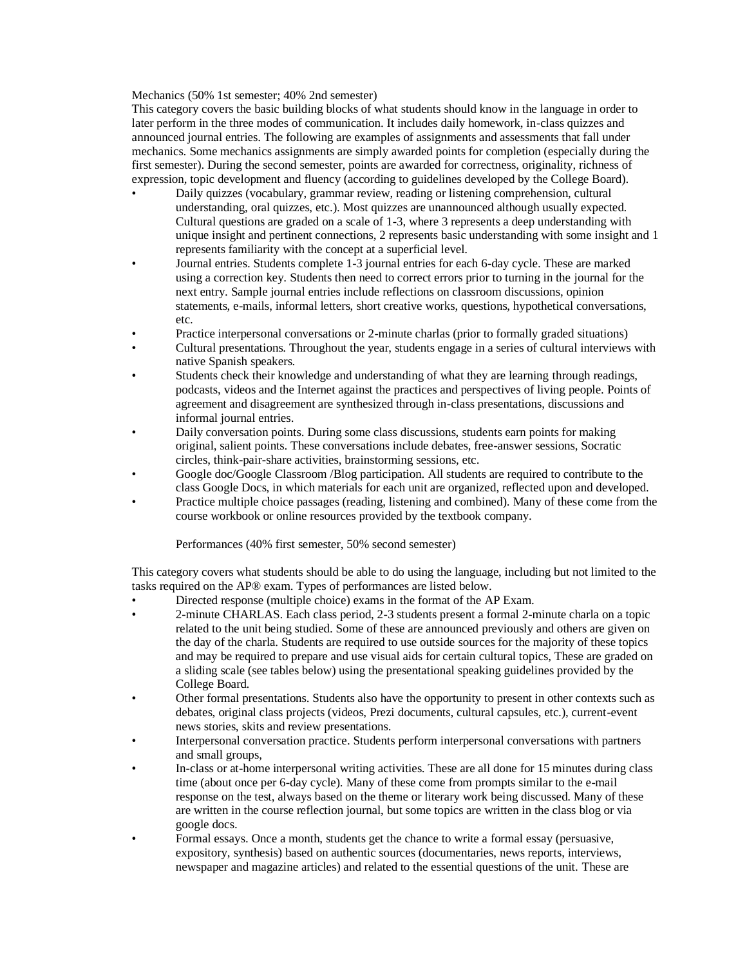Mechanics (50% 1st semester; 40% 2nd semester)

This category covers the basic building blocks of what students should know in the language in order to later perform in the three modes of communication. It includes daily homework, in-class quizzes and announced journal entries. The following are examples of assignments and assessments that fall under mechanics. Some mechanics assignments are simply awarded points for completion (especially during the first semester). During the second semester, points are awarded for correctness, originality, richness of expression, topic development and fluency (according to guidelines developed by the College Board).

- Daily quizzes (vocabulary, grammar review, reading or listening comprehension, cultural understanding, oral quizzes, etc.). Most quizzes are unannounced although usually expected. Cultural questions are graded on a scale of 1-3, where 3 represents a deep understanding with unique insight and pertinent connections, 2 represents basic understanding with some insight and 1 represents familiarity with the concept at a superficial level.
- Journal entries. Students complete 1-3 journal entries for each 6-day cycle. These are marked using a correction key. Students then need to correct errors prior to turning in the journal for the next entry. Sample journal entries include reflections on classroom discussions, opinion statements, e-mails, informal letters, short creative works, questions, hypothetical conversations, etc.
- Practice interpersonal conversations or 2-minute charlas (prior to formally graded situations)
- Cultural presentations. Throughout the year, students engage in a series of cultural interviews with native Spanish speakers.
- Students check their knowledge and understanding of what they are learning through readings, podcasts, videos and the Internet against the practices and perspectives of living people. Points of agreement and disagreement are synthesized through in-class presentations, discussions and informal journal entries.
- Daily conversation points. During some class discussions, students earn points for making original, salient points. These conversations include debates, free-answer sessions, Socratic circles, think-pair-share activities, brainstorming sessions, etc.
- Google doc/Google Classroom /Blog participation. All students are required to contribute to the class Google Docs, in which materials for each unit are organized, reflected upon and developed.
- Practice multiple choice passages (reading, listening and combined). Many of these come from the course workbook or online resources provided by the textbook company.

Performances (40% first semester, 50% second semester)

This category covers what students should be able to do using the language, including but not limited to the tasks required on the AP® exam. Types of performances are listed below.

- Directed response (multiple choice) exams in the format of the AP Exam.
- 2-minute CHARLAS. Each class period, 2-3 students present a formal 2-minute charla on a topic related to the unit being studied. Some of these are announced previously and others are given on the day of the charla. Students are required to use outside sources for the majority of these topics and may be required to prepare and use visual aids for certain cultural topics, These are graded on a sliding scale (see tables below) using the presentational speaking guidelines provided by the College Board.
- Other formal presentations. Students also have the opportunity to present in other contexts such as debates, original class projects (videos, Prezi documents, cultural capsules, etc.), current-event news stories, skits and review presentations.
- Interpersonal conversation practice. Students perform interpersonal conversations with partners and small groups,
- In-class or at-home interpersonal writing activities. These are all done for 15 minutes during class time (about once per 6-day cycle). Many of these come from prompts similar to the e-mail response on the test, always based on the theme or literary work being discussed. Many of these are written in the course reflection journal, but some topics are written in the class blog or via google docs.
- Formal essays. Once a month, students get the chance to write a formal essay (persuasive, expository, synthesis) based on authentic sources (documentaries, news reports, interviews, newspaper and magazine articles) and related to the essential questions of the unit. These are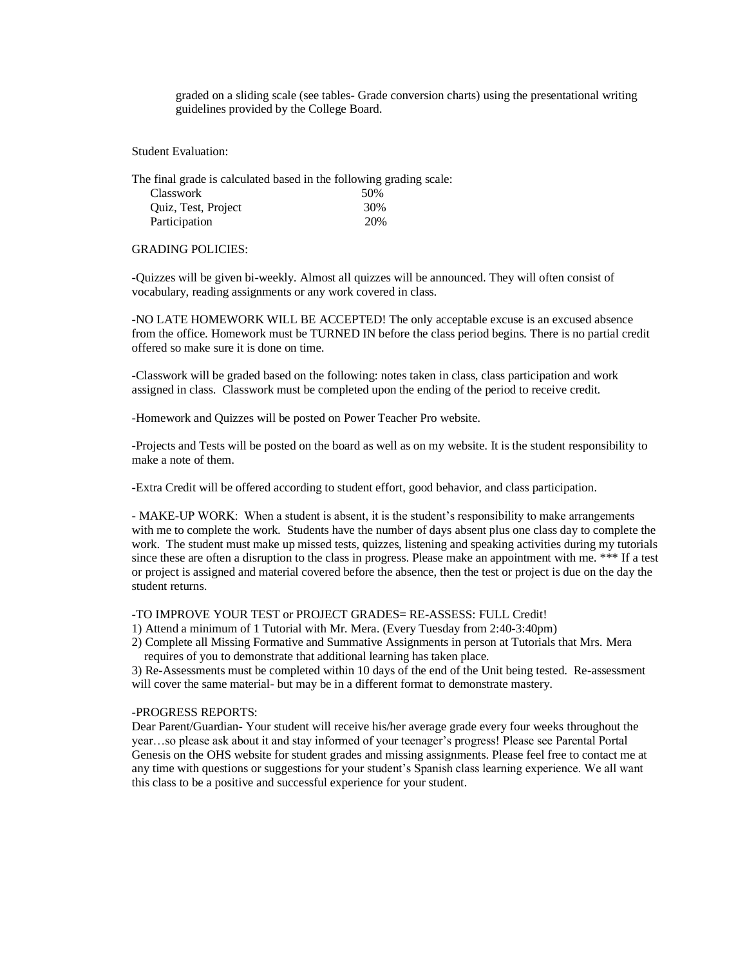graded on a sliding scale (see tables- Grade conversion charts) using the presentational writing guidelines provided by the College Board.

Student Evaluation:

The final grade is calculated based in the following grading scale:

| <b>Classwork</b>    | 50% |
|---------------------|-----|
| Quiz, Test, Project | 30% |
| Participation       | 20% |

#### GRADING POLICIES:

-Quizzes will be given bi-weekly. Almost all quizzes will be announced. They will often consist of vocabulary, reading assignments or any work covered in class.

-NO LATE HOMEWORK WILL BE ACCEPTED! The only acceptable excuse is an excused absence from the office. Homework must be TURNED IN before the class period begins. There is no partial credit offered so make sure it is done on time.

-Classwork will be graded based on the following: notes taken in class, class participation and work assigned in class. Classwork must be completed upon the ending of the period to receive credit.

-Homework and Quizzes will be posted on Power Teacher Pro website.

-Projects and Tests will be posted on the board as well as on my website. It is the student responsibility to make a note of them.

-Extra Credit will be offered according to student effort, good behavior, and class participation.

- MAKE-UP WORK: When a student is absent, it is the student's responsibility to make arrangements with me to complete the work. Students have the number of days absent plus one class day to complete the work. The student must make up missed tests, quizzes, listening and speaking activities during my tutorials since these are often a disruption to the class in progress. Please make an appointment with me. \*\*\* If a test or project is assigned and material covered before the absence, then the test or project is due on the day the student returns.

#### -TO IMPROVE YOUR TEST or PROJECT GRADES= RE-ASSESS: FULL Credit!

1) Attend a minimum of 1 Tutorial with Mr. Mera. (Every Tuesday from 2:40-3:40pm)

2) Complete all Missing Formative and Summative Assignments in person at Tutorials that Mrs. Mera requires of you to demonstrate that additional learning has taken place.

3) Re-Assessments must be completed within 10 days of the end of the Unit being tested. Re-assessment will cover the same material- but may be in a different format to demonstrate mastery.

## -PROGRESS REPORTS:

Dear Parent/Guardian- Your student will receive his/her average grade every four weeks throughout the year…so please ask about it and stay informed of your teenager's progress! Please see Parental Portal Genesis on the OHS website for student grades and missing assignments. Please feel free to contact me at any time with questions or suggestions for your student's Spanish class learning experience. We all want this class to be a positive and successful experience for your student.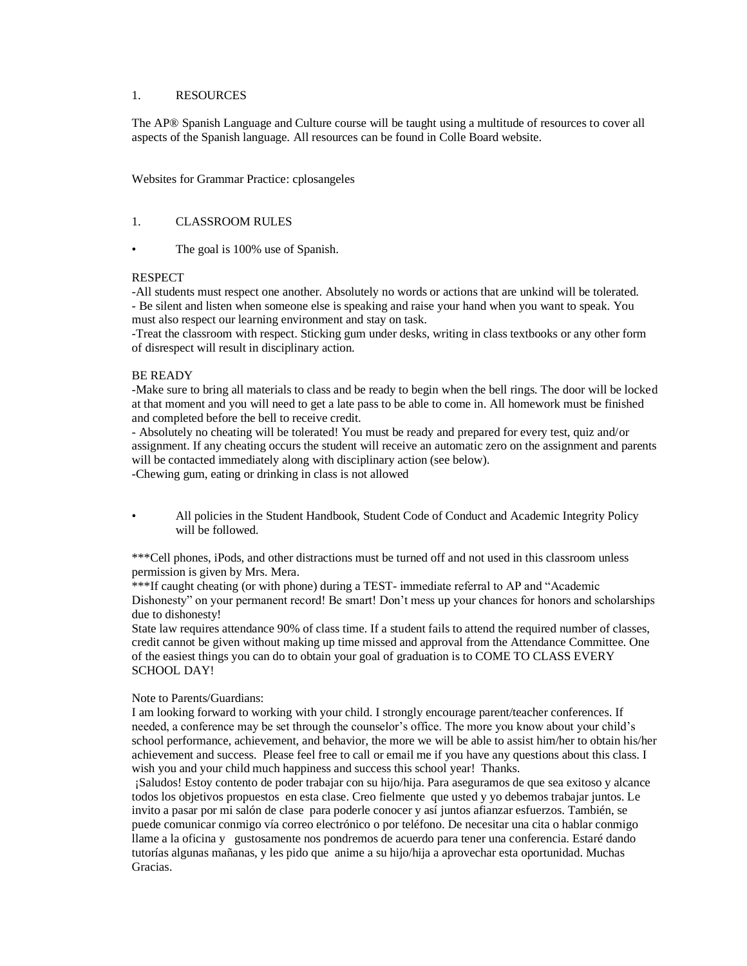#### 1. RESOURCES

The AP® Spanish Language and Culture course will be taught using a multitude of resources to cover all aspects of the Spanish language. All resources can be found in Colle Board website.

Websites for Grammar Practice: cplosangeles

## 1. CLASSROOM RULES

The goal is 100% use of Spanish.

#### **RESPECT**

-All students must respect one another. Absolutely no words or actions that are unkind will be tolerated. - Be silent and listen when someone else is speaking and raise your hand when you want to speak. You must also respect our learning environment and stay on task.

-Treat the classroom with respect. Sticking gum under desks, writing in class textbooks or any other form of disrespect will result in disciplinary action.

## BE READY

-Make sure to bring all materials to class and be ready to begin when the bell rings. The door will be locked at that moment and you will need to get a late pass to be able to come in. All homework must be finished and completed before the bell to receive credit.

- Absolutely no cheating will be tolerated! You must be ready and prepared for every test, quiz and/or assignment. If any cheating occurs the student will receive an automatic zero on the assignment and parents will be contacted immediately along with disciplinary action (see below).

-Chewing gum, eating or drinking in class is not allowed

• All policies in the Student Handbook, Student Code of Conduct and Academic Integrity Policy will be followed.

\*\*\*Cell phones, iPods, and other distractions must be turned off and not used in this classroom unless permission is given by Mrs. Mera.

\*\*\*If caught cheating (or with phone) during a TEST- immediate referral to AP and "Academic Dishonesty" on your permanent record! Be smart! Don't mess up your chances for honors and scholarships due to dishonesty!

State law requires attendance 90% of class time. If a student fails to attend the required number of classes, credit cannot be given without making up time missed and approval from the Attendance Committee. One of the easiest things you can do to obtain your goal of graduation is to COME TO CLASS EVERY SCHOOL DAY!

## Note to Parents/Guardians:

I am looking forward to working with your child. I strongly encourage parent/teacher conferences. If needed, a conference may be set through the counselor's office. The more you know about your child's school performance, achievement, and behavior, the more we will be able to assist him/her to obtain his/her achievement and success. Please feel free to call or email me if you have any questions about this class. I wish you and your child much happiness and success this school year! Thanks.

¡Saludos! Estoy contento de poder trabajar con su hijo/hija. Para aseguramos de que sea exitoso y alcance todos los objetivos propuestos en esta clase. Creo fielmente que usted y yo debemos trabajar juntos. Le invito a pasar por mi salón de clase para poderle conocer y así juntos afianzar esfuerzos. También, se puede comunicar conmigo vía correo electrónico o por teléfono. De necesitar una cita o hablar conmigo llame a la oficina y gustosamente nos pondremos de acuerdo para tener una conferencia. Estaré dando tutorías algunas mañanas, y les pido que anime a su hijo/hija a aprovechar esta oportunidad. Muchas Gracias.